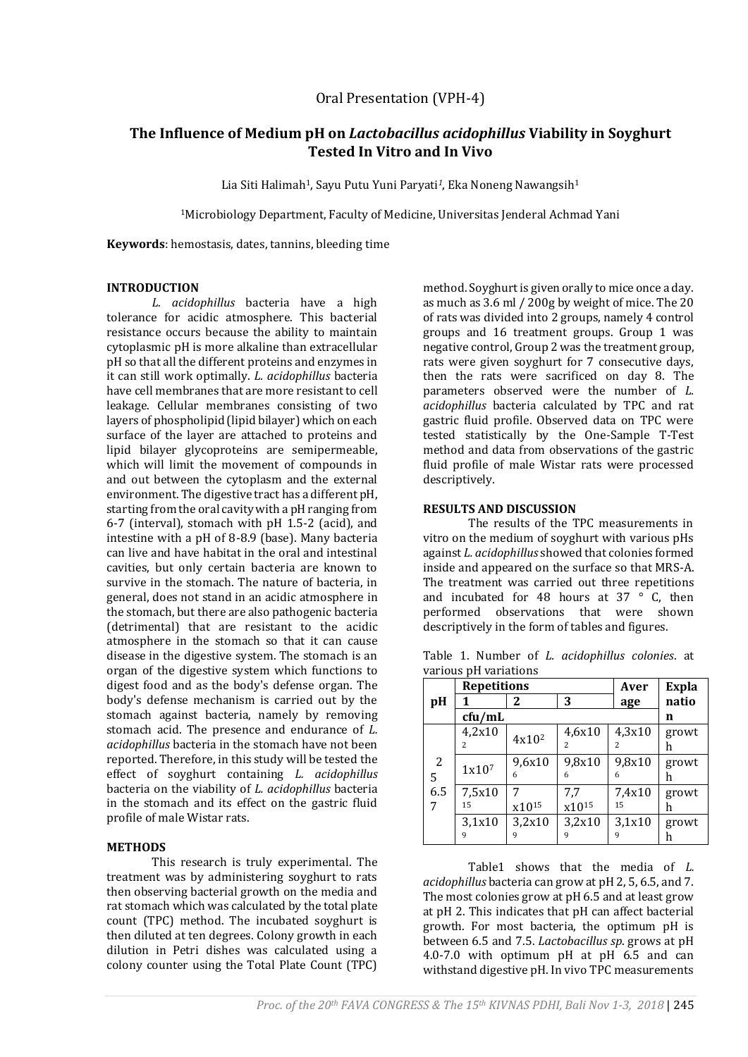## Oral Presentation (VPH-4)

# **The Influence of Medium pH on** *Lactobacillus acidophillus* **Viability in Soyghurt Tested In Vitro and In Vivo**

Lia Siti Halimah1, Sayu Putu Yuni Paryati*1*, Eka Noneng Nawangsih<sup>1</sup>

<sup>1</sup>Microbiology Department, Faculty of Medicine, Universitas Jenderal Achmad Yani

**Keywords**: hemostasis, dates, tannins, bleeding time

#### **INTRODUCTION**

*L. acidophillus* bacteria have a high tolerance for acidic atmosphere. This bacterial resistance occurs because the ability to maintain cytoplasmic pH is more alkaline than extracellular pH so that all the different proteins and enzymes in it can still work optimally. *L. acidophillus* bacteria have cell membranes that are more resistant to cell leakage. Cellular membranes consisting of two layers of phospholipid (lipid bilayer) which on each surface of the layer are attached to proteins and lipid bilayer glycoproteins are semipermeable, which will limit the movement of compounds in and out between the cytoplasm and the external environment. The digestive tract has a different pH, starting from the oral cavity with a pH ranging from 6-7 (interval), stomach with pH 1.5-2 (acid), and intestine with a pH of 8-8.9 (base). Many bacteria can live and have habitat in the oral and intestinal cavities, but only certain bacteria are known to survive in the stomach. The nature of bacteria, in general, does not stand in an acidic atmosphere in the stomach, but there are also pathogenic bacteria (detrimental) that are resistant to the acidic atmosphere in the stomach so that it can cause disease in the digestive system. The stomach is an organ of the digestive system which functions to digest food and as the body's defense organ. The body's defense mechanism is carried out by the stomach against bacteria, namely by removing stomach acid. The presence and endurance of *L. acidophillus* bacteria in the stomach have not been reported. Therefore, in this study will be tested the effect of soyghurt containing *L. acidophillus* bacteria on the viability of *L. acidophillus* bacteria in the stomach and its effect on the gastric fluid profile of male Wistar rats.

#### **METHODS**

This research is truly experimental. The treatment was by administering soyghurt to rats then observing bacterial growth on the media and rat stomach which was calculated by the total plate count (TPC) method. The incubated soyghurt is then diluted at ten degrees. Colony growth in each dilution in Petri dishes was calculated using a colony counter using the Total Plate Count (TPC)

method. Soyghurt is given orally to mice once a day. as much as 3.6 ml / 200g by weight of mice. The 20 of rats was divided into 2 groups, namely 4 control groups and 16 treatment groups. Group 1 was negative control, Group 2 was the treatment group, rats were given soyghurt for 7 consecutive days, then the rats were sacrificed on day 8. The parameters observed were the number of *L. acidophillus* bacteria calculated by TPC and rat gastric fluid profile. Observed data on TPC were tested statistically by the One-Sample T-Test method and data from observations of the gastric fluid profile of male Wistar rats were processed descriptively.

## **RESULTS AND DISCUSSION**

The results of the TPC measurements in vitro on the medium of soyghurt with various pHs against *L. acidophillus* showed that colonies formed inside and appeared on the surface so that MRS-A. The treatment was carried out three repetitions and incubated for 48 hours at 37  $\degree$  C, then performed observations that were shown descriptively in the form of tables and figures.

|                    | <b>Repetitions</b>                 |             |                                    | Aver                               | Expla      |
|--------------------|------------------------------------|-------------|------------------------------------|------------------------------------|------------|
| рH                 |                                    | 2           | 3                                  | age                                | natio      |
|                    | cfu/mL                             |             |                                    |                                    | n          |
| 2<br>5<br>6.5<br>7 | 4,2x10<br>$\overline{\mathcal{L}}$ | $4x10^2$    | 4,6x10<br>$\overline{\mathcal{L}}$ | 4,3x10<br>$\overline{\mathcal{L}}$ | growt<br>h |
|                    | 1x107                              | 9,6x10<br>6 | 9,8x10<br>6                        | 9,8x10<br>6                        | growt<br>h |
|                    | 7,5x10<br>15                       | x1015       | 7,7<br>x10 <sup>15</sup>           | 7,4x10<br>15                       | growt<br>n |
|                    | 3,1x10<br>9                        | 3,2x10      | 3,2x10<br>9                        | 3,1x10<br>q                        | growt      |

Table 1. Number of *L. acidophillus colonies*. at various pH variations

Table1 shows that the media of *L. acidophillus* bacteria can grow at pH 2, 5, 6.5, and 7. The most colonies grow at pH 6.5 and at least grow at pH 2. This indicates that pH can affect bacterial growth. For most bacteria, the optimum pH is between 6.5 and 7.5. *Lactobacillus sp*. grows at pH 4.0-7.0 with optimum pH at pH 6.5 and can withstand digestive pH. In vivo TPC measurements